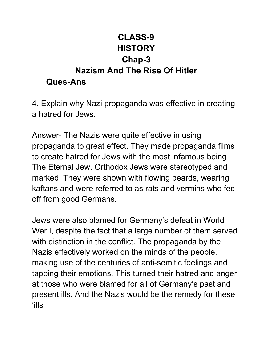## **CLASS-9 HISTORY Chap-3 Nazism And The Rise Of Hitler Ques-Ans**

4. Explain why Nazi propaganda was effective in creating a hatred for Jews.

Answer- The Nazis were quite effective in using propaganda to great effect. They made propaganda films to create hatred for Jews with the most infamous being The Eternal Jew. Orthodox Jews were stereotyped and marked. They were shown with flowing beards, wearing kaftans and were referred to as rats and vermins who fed off from good Germans.

Jews were also blamed for Germany's defeat in World War I, despite the fact that a large number of them served with distinction in the conflict. The propaganda by the Nazis effectively worked on the minds of the people, making use of the centuries of anti-semitic feelings and tapping their emotions. This turned their hatred and anger at those who were blamed for all of Germany's past and present ills. And the Nazis would be the remedy for these 'ills'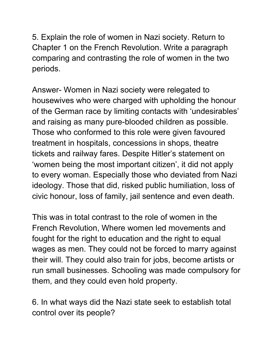5. Explain the role of women in Nazi society. Return to Chapter 1 on the French Revolution. Write a paragraph comparing and contrasting the role of women in the two periods.

Answer- Women in Nazi society were relegated to housewives who were charged with upholding the honour of the German race by limiting contacts with 'undesirables' and raising as many pure-blooded children as possible. Those who conformed to this role were given favoured treatment in hospitals, concessions in shops, theatre tickets and railway fares. Despite Hitler's statement on 'women being the most important citizen', it did not apply to every woman. Especially those who deviated from Nazi ideology. Those that did, risked public humiliation, loss of civic honour, loss of family, jail sentence and even death.

This was in total contrast to the role of women in the French Revolution, Where women led movements and fought for the right to education and the right to equal wages as men. They could not be forced to marry against their will. They could also train for jobs, become artists or run small businesses. Schooling was made compulsory for them, and they could even hold property.

6. In what ways did the Nazi state seek to establish total control over its people?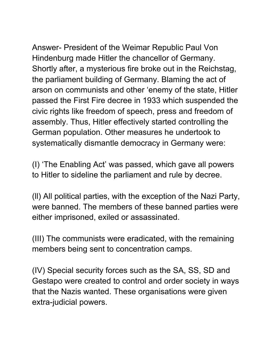Answer- President of the Weimar Republic Paul Von Hindenburg made Hitler the chancellor of Germany. Shortly after, a mysterious fire broke out in the Reichstag, the parliament building of Germany. Blaming the act of arson on communists and other 'enemy of the state, Hitler passed the First Fire decree in 1933 which suspended the civic rights like freedom of speech, press and freedom of assembly. Thus, Hitler effectively started controlling the German population. Other measures he undertook to systematically dismantle democracy in Germany were:

(I) 'The Enabling Act' was passed, which gave all powers to Hitler to sideline the parliament and rule by decree.

(ll) All political parties, with the exception of the Nazi Party, were banned. The members of these banned parties were either imprisoned, exiled or assassinated.

(III) The communists were eradicated, with the remaining members being sent to concentration camps.

(IV) Special security forces such as the SA, SS, SD and Gestapo were created to control and order society in ways that the Nazis wanted. These organisations were given extra-judicial powers.